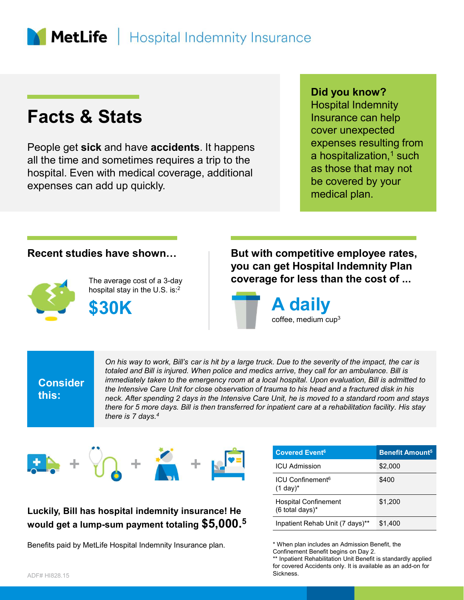# **MetLife** | Hospital Indemnity Insurance

# Facts & Stats

People get sick and have accidents. It happens all the time and sometimes requires a trip to the hospital. Even with medical coverage, additional expenses can add up quickly.

### Did you know?

Hospital Indemnity Insurance can help cover unexpected expenses resulting from a hospitalization,<sup>1</sup> such as those that may not be covered by your medical plan.



The average cost of a 3-day hospital stay in the U.S. is:2





**Consider** 

this:<br>neck. After spending 2 days in the Intensive Care Unit, he is moved to a standard room and stays On his way to work, Bill's car is hit by a large truck. Due to the severity of the impact, the car is totaled and Bill is injured. When police and medics arrive, they call for an ambulance. Bill is injured. When police and medics arrive, they call for an ambulance. Bill is injured. When police and medics arrive, they call immediately taken to the emergency room at a local hospital. Upon evaluation, Bill is admitted to the Intensive Care Unit for close observation of trauma to his head and a fractured disk in his there for 5 more days. Bill is then transferred for inpatient care at a rehabilitation facility. His stay there is 7 days.<sup>4</sup>



## Luckily, Bill has hospital indemnity insurance! He would get a lump-sum payment totaling \$5,000.<sup>5</sup>

Benefits paid by MetLife Hospital Indemnity Insurance plan.

| e for less than the cost of                                                                                                                                                                               | get nospital maemmuy ran                     |
|-----------------------------------------------------------------------------------------------------------------------------------------------------------------------------------------------------------|----------------------------------------------|
| <b>A</b> daily<br>coffee, medium cup <sup>3</sup>                                                                                                                                                         |                                              |
| . Due to the severity of the impact, the car is<br>s arrive, they call for an ambulance. Bill is                                                                                                          |                                              |
| al hospital. Upon evaluation, Bill is admitted to<br>uma to his head and a fractured disk in his<br>Unit, he is moved to a standard room and stays<br>patient care at a rehabilitation facility. His stay |                                              |
| <b>Covered Event<sup>6</sup></b><br><b>ICU Admission</b>                                                                                                                                                  | <b>Benefit Amount<sup>5</sup></b><br>\$2,000 |
| ICU Confinement <sup>6</sup><br>$(1$ day) <sup>*</sup>                                                                                                                                                    | \$400                                        |
| <b>Hospital Confinement</b><br>(6 total days)*                                                                                                                                                            | \$1,200                                      |

\*\* Inpatient Rehabilitation Unit Benefit is standardly applied for covered Accidents only. It is available as an add-on for Sickness.